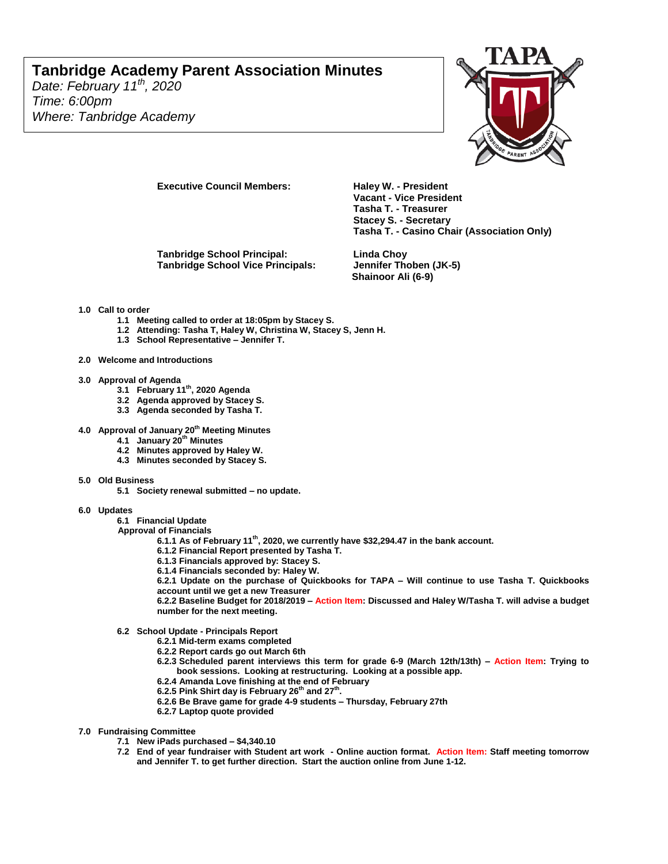## **Tanbridge Academy Parent Association Minutes**

*Date: February 11th, 2020 Time: 6:00pm Where: Tanbridge Academy*



**Executive Council Members: Haley W. - President** 

**Tanbridge School Principal: Linda Choy Tanbridge School Vice Principals: Jennifer Thoben (JK-5)**

**Vacant - Vice President Tasha T. - Treasurer Stacey S. - Secretary Tasha T. - Casino Chair (Association Only)**

**Shainoor Ali (6-9)**

## **1.0 Call to order**

- **1.1 Meeting called to order at 18:05pm by Stacey S.**
- **1.2 Attending: Tasha T, Haley W, Christina W, Stacey S, Jenn H.**
- **1.3 School Representative – Jennifer T.**
- **2.0 Welcome and Introductions**
- 
- **3.0 Approval of Agenda 3.1 February 11th, 2020 Agenda**
	- **3.2 Agenda approved by Stacey S.**
	- **3.3 Agenda seconded by Tasha T.**
- **4.0 Approval of January 20th Meeting Minutes**
	- **4.1 January 20th Minutes**
	- **4.2 Minutes approved by Haley W.**
	- **4.3 Minutes seconded by Stacey S.**
- **5.0 Old Business** 
	- **5.1 Society renewal submitted – no update.**
- **6.0 Updates** 
	- **6.1 Financial Update**
	- **Approval of Financials**
		- **6.1.1 As of February 11th, 2020, we currently have \$32,294.47 in the bank account.**
		- **6.1.2 Financial Report presented by Tasha T.**
		- **6.1.3 Financials approved by: Stacey S.**
		- **6.1.4 Financials seconded by: Haley W.**

**6.2.1 Update on the purchase of Quickbooks for TAPA – Will continue to use Tasha T. Quickbooks account until we get a new Treasurer**

**6.2.2 Baseline Budget for 2018/2019 – Action Item: Discussed and Haley W/Tasha T. will advise a budget number for the next meeting.**

- **6.2 School Update - Principals Report**
	- **6.2.1 Mid-term exams completed**
	- **6.2.2 Report cards go out March 6th**
	- **6.2.3 Scheduled parent interviews this term for grade 6-9 (March 12th/13th) – Action Item: Trying to book sessions. Looking at restructuring. Looking at a possible app.**
	- **6.2.4 Amanda Love finishing at the end of February**
	- **6.2.5 Pink Shirt day is February 26th and 27th .**
	- **6.2.6 Be Brave game for grade 4-9 students – Thursday, February 27th**
	- **6.2.7 Laptop quote provided**
- **7.0 Fundraising Committee**
	- **7.1 New iPads purchased – \$4,340.10**
	- **7.2 End of year fundraiser with Student art work - Online auction format. Action Item: Staff meeting tomorrow and Jennifer T. to get further direction. Start the auction online from June 1-12.**